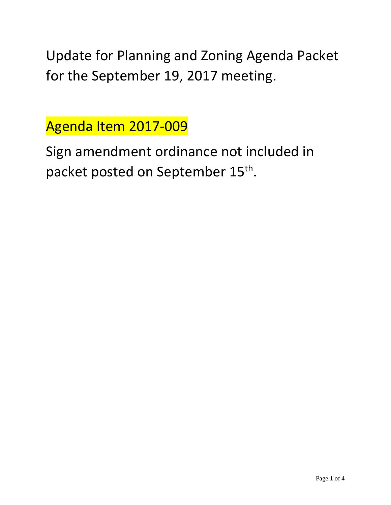Update for Planning and Zoning Agenda Packet for the September 19, 2017 meeting.

Agenda Item 2017-009

Sign amendment ordinance not included in packet posted on September 15<sup>th</sup>.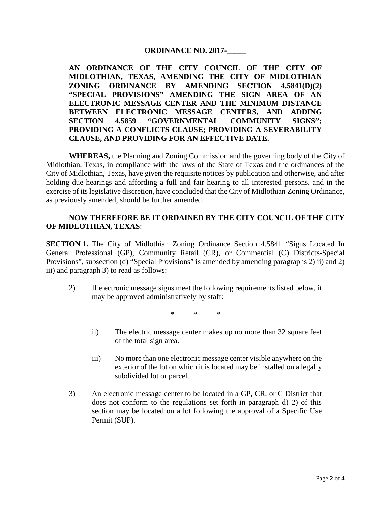#### **ORDINANCE NO. 2017-\_\_\_\_\_**

**AN ORDINANCE OF THE CITY COUNCIL OF THE CITY OF MIDLOTHIAN, TEXAS, AMENDING THE CITY OF MIDLOTHIAN ZONING ORDINANCE BY AMENDING SECTION 4.5841(D)(2) "SPECIAL PROVISIONS" AMENDING THE SIGN AREA OF AN ELECTRONIC MESSAGE CENTER AND THE MINIMUM DISTANCE BETWEEN ELECTRONIC MESSAGE CENTERS, AND ADDING SECTION 4.5859 "GOVERNMENTAL COMMUNITY SIGNS"; PROVIDING A CONFLICTS CLAUSE; PROVIDING A SEVERABILITY CLAUSE, AND PROVIDING FOR AN EFFECTIVE DATE.**

**WHEREAS,** the Planning and Zoning Commission and the governing body of the City of Midlothian, Texas, in compliance with the laws of the State of Texas and the ordinances of the City of Midlothian, Texas, have given the requisite notices by publication and otherwise, and after holding due hearings and affording a full and fair hearing to all interested persons, and in the exercise of its legislative discretion, have concluded that the City of Midlothian Zoning Ordinance, as previously amended, should be further amended.

#### **NOW THEREFORE BE IT ORDAINED BY THE CITY COUNCIL OF THE CITY OF MIDLOTHIAN, TEXAS**:

**SECTION 1.** The City of Midlothian Zoning Ordinance Section 4.5841 "Signs Located In General Professional (GP), Community Retail (CR), or Commercial (C) Districts-Special Provisions", subsection (d) "Special Provisions" is amended by amending paragraphs 2) ii) and 2) iii) and paragraph 3) to read as follows:

2) If electronic message signs meet the following requirements listed below, it may be approved administratively by staff:

\* \* \*

- ii) The electric message center makes up no more than 32 square feet of the total sign area.
- iii) No more than one electronic message center visible anywhere on the exterior of the lot on which it is located may be installed on a legally subdivided lot or parcel.
- 3) An electronic message center to be located in a GP, CR, or C District that does not conform to the regulations set forth in paragraph d) 2) of this section may be located on a lot following the approval of a Specific Use Permit (SUP).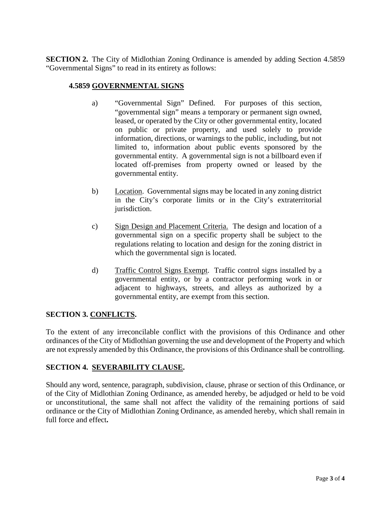**SECTION 2.** The City of Midlothian Zoning Ordinance is amended by adding Section 4.5859 "Governmental Signs" to read in its entirety as follows:

## **4.5859 GOVERNMENTAL SIGNS**

- a) "Governmental Sign" Defined. For purposes of this section, "governmental sign" means a temporary or permanent sign owned, leased, or operated by the City or other governmental entity, located on public or private property, and used solely to provide information, directions, or warnings to the public, including, but not limited to, information about public events sponsored by the governmental entity. A governmental sign is not a billboard even if located off-premises from property owned or leased by the governmental entity.
- b) Location. Governmental signs may be located in any zoning district in the City's corporate limits or in the City's extraterritorial jurisdiction.
- c) Sign Design and Placement Criteria. The design and location of a governmental sign on a specific property shall be subject to the regulations relating to location and design for the zoning district in which the governmental sign is located.
- d) Traffic Control Signs Exempt. Traffic control signs installed by a governmental entity, or by a contractor performing work in or adjacent to highways, streets, and alleys as authorized by a governmental entity, are exempt from this section.

# **SECTION 3. CONFLICTS.**

To the extent of any irreconcilable conflict with the provisions of this Ordinance and other ordinances of the City of Midlothian governing the use and development of the Property and which are not expressly amended by this Ordinance, the provisions of this Ordinance shall be controlling.

# **SECTION 4. SEVERABILITY CLAUSE.**

Should any word, sentence, paragraph, subdivision, clause, phrase or section of this Ordinance, or of the City of Midlothian Zoning Ordinance, as amended hereby, be adjudged or held to be void or unconstitutional, the same shall not affect the validity of the remaining portions of said ordinance or the City of Midlothian Zoning Ordinance, as amended hereby, which shall remain in full force and effect**.**